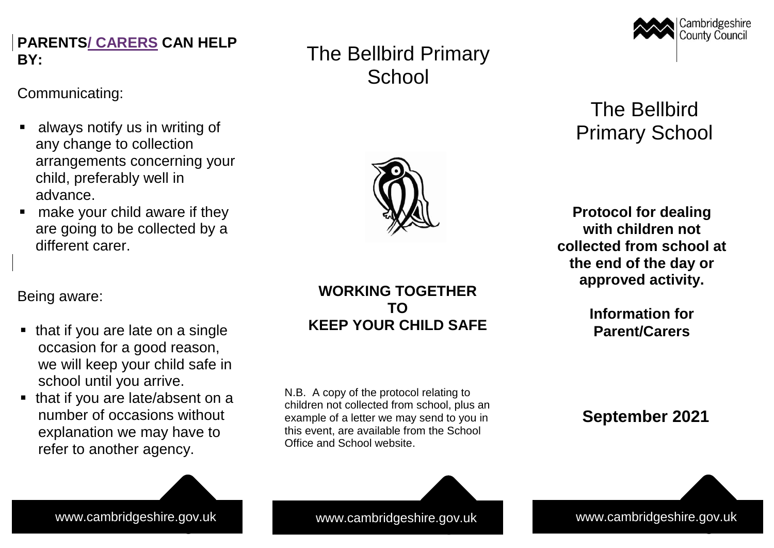# **PARENTS<u>/ CARERS</u> CAN HELP BY:**

 $\overline{c}$  communications in the set of  $\overline{c}$ Communicating:

- $A = \frac{1}{2}$  in writing of  $\frac{1}{2}$  us in writing of  $\frac{1}{2}$  $\blacksquare$  always notify us in writing of any change to collection arrangements concerning your child, preferably well in advance.<br>They continue in the theory of the second and they continue to the second and they continue to the second and advance.
- $\blacksquare$  make your child aware if they are going to be collected by a different carer.

Cambridgeshire County Council

# The Bellbird Primary School

**Protocol for dealing with children not collected from school at the end of the day or approved activity.**

> **Information for Parent/Carers**

# **September 2021**

www.cambridgeshire.gov.uk www.cambridgeshire.gov.uk www.cambridgeshire.gov.uk

Being aware: Being aware:

- $T_{\rm eff}$  if  $T_{\rm eff}$  if  $T_{\rm eff}$  if  $T_{\rm eff}$  is a single on a single  $\blacksquare$  that if you are late on a single occasion for a good reason, we will keep your child safe in school until you arrive.
- $\blacksquare$  that if you are late/absent on a number of occasions without explanation we may have to refer to another agency.

## **WORKING TOGETHER TO KEEP YOUR CHILD SAFE**

The Bellbird Primary

**School** 

N.B. A copy of the protocol relating to children not collected from school, plus an example of a letter we may send to you in this event, are available from the School Office and School website.